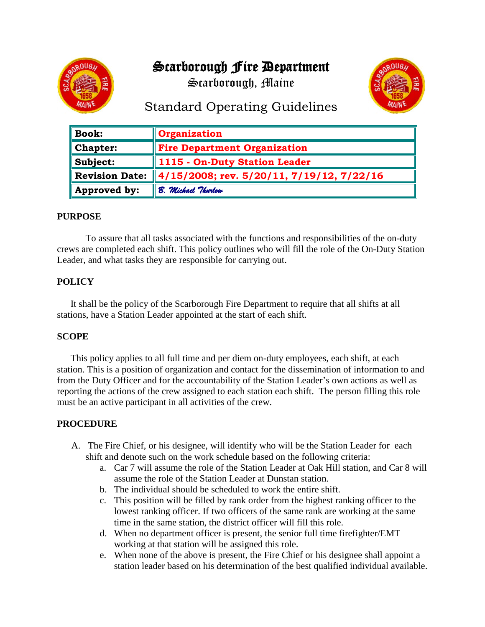# Scarborough Fire Department

Scarborough, Maine





# Standard Operating Guidelines

| $\parallel$ Book: | Organization                              |
|-------------------|-------------------------------------------|
| $\ $ Chapter:     | <b>Fire Department Organization</b>       |
| $\ $ Subject:     | 1115 - On-Duty Station Leader             |
| Revision Date:    | 4/15/2008; rev. 5/20/11, 7/19/12, 7/22/16 |
| Approved by:      | B. Michael Thurlow                        |

## **PURPOSE**

 To assure that all tasks associated with the functions and responsibilities of the on-duty crews are completed each shift. This policy outlines who will fill the role of the On-Duty Station Leader, and what tasks they are responsible for carrying out.

## **POLICY**

It shall be the policy of the Scarborough Fire Department to require that all shifts at all stations, have a Station Leader appointed at the start of each shift.

## **SCOPE**

This policy applies to all full time and per diem on-duty employees, each shift, at each station. This is a position of organization and contact for the dissemination of information to and from the Duty Officer and for the accountability of the Station Leader's own actions as well as reporting the actions of the crew assigned to each station each shift. The person filling this role must be an active participant in all activities of the crew.

#### **PROCEDURE**

- A. The Fire Chief, or his designee, will identify who will be the Station Leader for each shift and denote such on the work schedule based on the following criteria:
	- a. Car 7 will assume the role of the Station Leader at Oak Hill station, and Car 8 will assume the role of the Station Leader at Dunstan station.
	- b. The individual should be scheduled to work the entire shift.
	- c. This position will be filled by rank order from the highest ranking officer to the lowest ranking officer. If two officers of the same rank are working at the same time in the same station, the district officer will fill this role.
	- d. When no department officer is present, the senior full time firefighter/EMT working at that station will be assigned this role.
	- e. When none of the above is present, the Fire Chief or his designee shall appoint a station leader based on his determination of the best qualified individual available.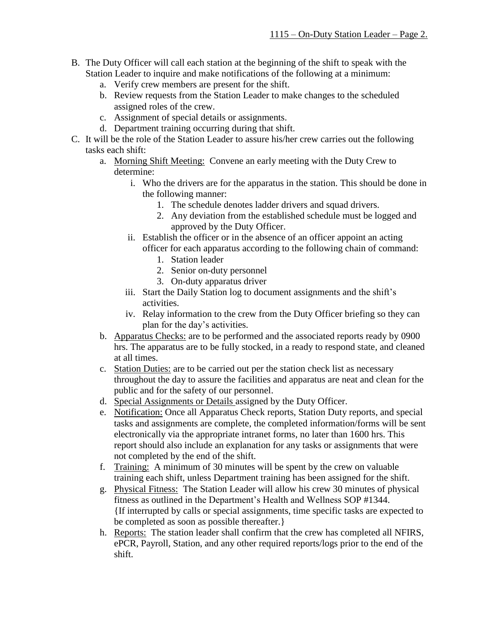- B. The Duty Officer will call each station at the beginning of the shift to speak with the Station Leader to inquire and make notifications of the following at a minimum:
	- a. Verify crew members are present for the shift.
	- b. Review requests from the Station Leader to make changes to the scheduled assigned roles of the crew.
	- c. Assignment of special details or assignments.
	- d. Department training occurring during that shift.
- C. It will be the role of the Station Leader to assure his/her crew carries out the following tasks each shift:
	- a. Morning Shift Meeting: Convene an early meeting with the Duty Crew to determine:
		- i. Who the drivers are for the apparatus in the station. This should be done in the following manner:
			- 1. The schedule denotes ladder drivers and squad drivers.
			- 2. Any deviation from the established schedule must be logged and approved by the Duty Officer.
		- ii. Establish the officer or in the absence of an officer appoint an acting officer for each apparatus according to the following chain of command:
			- 1. Station leader
			- 2. Senior on-duty personnel
			- 3. On-duty apparatus driver
		- iii. Start the Daily Station log to document assignments and the shift's activities.
		- iv. Relay information to the crew from the Duty Officer briefing so they can plan for the day's activities.
	- b. Apparatus Checks: are to be performed and the associated reports ready by 0900 hrs. The apparatus are to be fully stocked, in a ready to respond state, and cleaned at all times.
	- c. Station Duties: are to be carried out per the station check list as necessary throughout the day to assure the facilities and apparatus are neat and clean for the public and for the safety of our personnel.
	- d. Special Assignments or Details assigned by the Duty Officer.
	- e. Notification: Once all Apparatus Check reports, Station Duty reports, and special tasks and assignments are complete, the completed information/forms will be sent electronically via the appropriate intranet forms, no later than 1600 hrs. This report should also include an explanation for any tasks or assignments that were not completed by the end of the shift.
	- f. Training: A minimum of 30 minutes will be spent by the crew on valuable training each shift, unless Department training has been assigned for the shift.
	- g. Physical Fitness: The Station Leader will allow his crew 30 minutes of physical fitness as outlined in the Department's Health and Wellness SOP #1344. {If interrupted by calls or special assignments, time specific tasks are expected to be completed as soon as possible thereafter.}
	- h. Reports: The station leader shall confirm that the crew has completed all NFIRS, ePCR, Payroll, Station, and any other required reports/logs prior to the end of the shift.